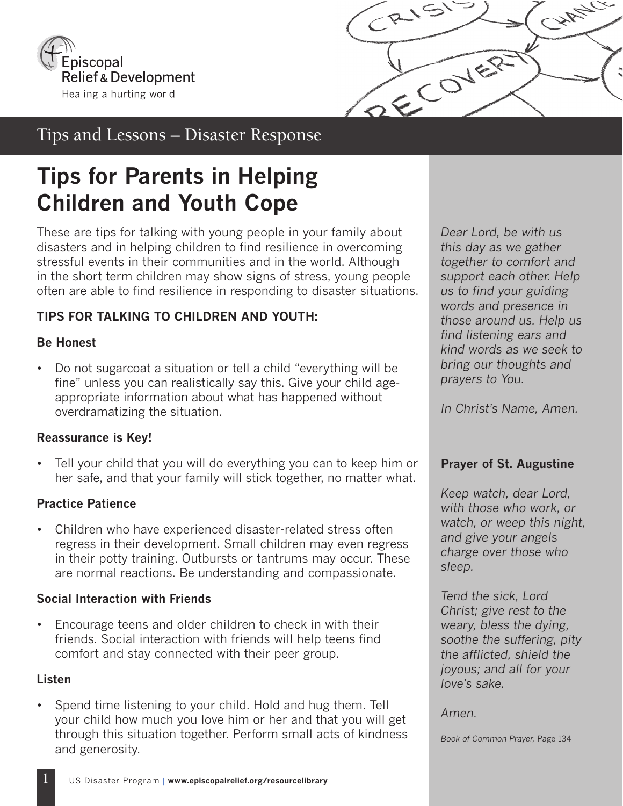



# Tips and Lessons – Disaster Response

# **Tips for Parents in Helping Children and Youth Cope**

These are tips for talking with young people in your family about disasters and in helping children to find resilience in overcoming stressful events in their communities and in the world. Although in the short term children may show signs of stress, young people often are able to find resilience in responding to disaster situations.

# **TIPS FOR TALKING TO CHILDREN AND YOUTH:**

# **Be Honest**

• Do not sugarcoat a situation or tell a child "everything will be fine" unless you can realistically say this. Give your child ageappropriate information about what has happened without overdramatizing the situation.

# **Reassurance is Key!**

• Tell your child that you will do everything you can to keep him or her safe, and that your family will stick together, no matter what.

# **Practice Patience**

• Children who have experienced disaster-related stress often regress in their development. Small children may even regress in their potty training. Outbursts or tantrums may occur. These are normal reactions. Be understanding and compassionate.

# **Social Interaction with Friends**

• Encourage teens and older children to check in with their friends. Social interaction with friends will help teens find comfort and stay connected with their peer group.

# **Listen**

• Spend time listening to your child. Hold and hug them. Tell your child how much you love him or her and that you will get through this situation together. Perform small acts of kindness and generosity.

*Dear Lord, be with us this day as we gather together to comfort and support each other. Help us to find your guiding words and presence in those around us. Help us find listening ears and kind words as we seek to bring our thoughts and prayers to You.* 

*In Christ's Name, Amen.*

# **Prayer of St. Augustine**

*Keep watch, dear Lord, with those who work, or watch, or weep this night, and give your angels charge over those who sleep.* 

*Tend the sick, Lord Christ; give rest to the weary, bless the dying, soothe the suffering, pity the afflicted, shield the joyous; and all for your love's sake.* 

*Amen.*

*Book of Common Prayer,* Page 134